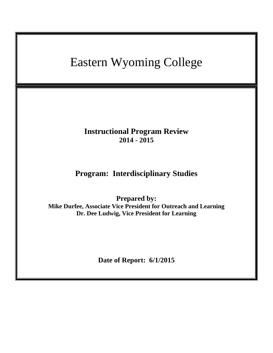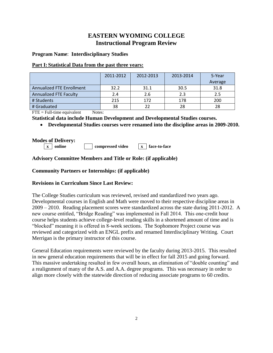# **EASTERN WYOMING COLLEGE Instructional Program Review**

## **Program Name**: **Interdisciplinary Studies**

## **Part I: Statistical Data from the past three years:**

|                                  | 2011-2012 | 2012-2013 | 2013-2014 | 5-Year<br>Average |
|----------------------------------|-----------|-----------|-----------|-------------------|
|                                  |           |           |           |                   |
| <b>Annualized FTE Enrollment</b> | 32.2      | 31.1      | 30.5      | 31.8              |
| <b>Annualized FTE Faculty</b>    | 2.4       | 2.6       | 2.3       | 2.5               |
| # Students                       | 215       | 172       | 178       | 200               |
| # Graduated                      | 38        | 22        | 28        | 28                |

 $\text{FTE} = \text{Full-time equivalent}$  Notes:

**Statistical data include Human Development and Developmental Studies courses.**

**Developmental Studies courses were renamed into the discipline areas in 2009-2010.**

**Modes of Delivery:**

**x online compressed video x face-to-face**

## **Advisory Committee Members and Title or Role: (if applicable)**

## **Community Partners or Internships: (if applicable)**

## **Revisions in Curriculum Since Last Review:**

The College Studies curriculum was reviewed, revised and standardized two years ago. Developmental courses in English and Math were moved to their respective discipline areas in 2009 – 2010. Reading placement scores were standardized across the state during 2011-2012. A new course entitled, "Bridge Reading" was implemented in Fall 2014. This one-credit hour course helps students achieve college-level reading skills in a shortened amount of time and is "blocked" meaning it is offered in 8-week sections. The Sophomore Project course was reviewed and categorized with an ENGL prefix and renamed Interdisciplinary Writing. Court Merrigan is the primary instructor of this course.

General Education requirements were reviewed by the faculty during 2013-2015. This resulted in new general education requirements that will be in effect for fall 2015 and going forward. This massive undertaking resulted in few overall hours, an elimination of "double counting" and a realignment of many of the A.S. and A.A. degree programs. This was necessary in order to align more closely with the statewide direction of reducing associate programs to 60 credits.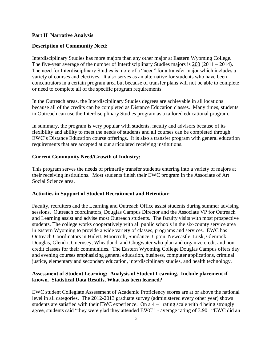#### **Part II Narrative Analysis**

#### **Description of Community Need:**

Interdisciplinary Studies has more majors than any other major at Eastern Wyoming College. The five-year average of the number of Interdisciplinary Studies majors is 200 (2011 – 2014). The need for Interdisciplinary Studies is more of a "need" for a transfer major which includes a variety of courses and electives. It also serves as an alternative for students who have been concentrators in a certain program area but because of transfer plans will not be able to complete or need to complete all of the specific program requirements.

In the Outreach areas, the Interdisciplinary Studies degrees are achievable in all locations because all of the credits can be completed as Distance Education classes. Many times, students in Outreach can use the Interdisciplinary Studies program as a tailored educational program.

In summary, the program is very popular with students, faculty and advisors because of its flexibility and ability to meet the needs of students and all courses can be completed through EWC's Distance Education course offerings. It is also a transfer program with general education requirements that are accepted at our articulated receiving institutions.

#### **Current Community Need/Growth of Industry:**

This program serves the needs of primarily transfer students entering into a variety of majors at their receiving institutions. Most students finish their EWC program in the Associate of Art Social Science area.

#### **Activities in Support of Student Recruitment and Retention:**

Faculty, recruiters and the Learning and Outreach Office assist students during summer advising sessions. Outreach coordinators, Douglas Campus Director and the Associate VP for Outreach and Learning assist and advise most Outreach students. The faculty visits with most prospective students. The college works cooperatively with all public schools in the six-county service area in eastern Wyoming to provide a wide variety of classes, programs and services. EWC has Outreach Coordinators in Hulett, Moorcroft, Sundance, Upton, Newcastle, Lusk, Glenrock, Douglas, Glendo, Guernsey, Wheatland, and Chugwater who plan and organize credit and noncredit classes for their communities. The Eastern Wyoming College Douglas Campus offers day and evening courses emphasizing general education, business, computer applications, criminal justice, elementary and secondary education, interdisciplinary studies, and health technology.

## **Assessment of Student Learning: Analysis of Student Learning. Include placement if known. Statistical Data Results, What has been learned?**

EWC student Collegiate Assessment of Academic Proficiency scores are at or above the national level in all categories. The 2012-2013 graduate survey (administered every other year) shows students are satisfied with their EWC experience. On a 4 –1 rating scale with 4 being strongly agree, students said "they were glad they attended EWC" - average rating of 3.90. "EWC did an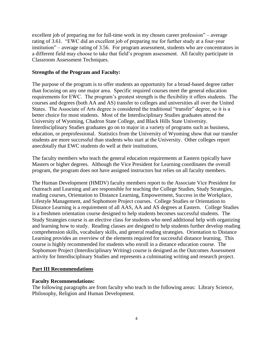excellent job of preparing me for full-time work in my chosen career profession" – average rating of 3.61. "EWC did an excellent job of preparing me for further study at a four-year institution" – average rating of 3.56. For program assessment, students who are concentrators in a different field may choose to take that field's program assessment. All faculty participate in Classroom Assessment Techniques.

## **Strengths of the Program and Faculty:**

The purpose of the program is to offer students an opportunity for a broad-based degree rather than focusing on any one major area. Specific required courses meet the general education requirements for EWC. The program's greatest strength is the flexibility it offers students. The courses and degrees (both AA and AS) transfer to colleges and universities all over the United States. The Associate of Arts degree is considered the traditional "transfer" degree, so it is a better choice for most students. Most of the Interdisciplinary Studies graduates attend the University of Wyoming, Chadron State College, and Black Hills State University. Interdisciplinary Studies graduates go on to major in a variety of programs such as business, education, or preprofessional. Statistics from the University of Wyoming show that our transfer students are more successful than students who start at the University. Other colleges report anecdotally that EWC students do well at their institutions.

The faculty members who teach the general education requirements at Eastern typically have Masters or higher degrees. Although the Vice President for Learning coordinates the overall program, the program does not have assigned instructors but relies on all faculty members.

The Human Development (HMDV) faculty members report to the Associate Vice President for Outreach and Learning and are responsible for teaching the College Studies, Study Strategies, reading courses, Orientation to Distance Learning, Empowerment, Success in the Workplace, Lifestyle Management, and Sophomore Project courses. College Studies or Orientation to Distance Learning is a requirement of all AAS, AA and AS degrees at Eastern. College Studies is a freshmen orientation course designed to help students becomes successful students. The Study Strategies course is an elective class for students who need additional help with organizing and learning how to study. Reading classes are designed to help students further develop reading comprehension skills, vocabulary skills, and general reading strategies. Orientation to Distance Learning provides an overview of the elements required for successful distance learning. This course is highly recommended for students who enroll in a distance education course. The Sophomore Project (Interdisciplinary Writing) course is designed as the Outcomes Assessment activity for Interdisciplinary Studies and represents a culminating writing and research project.

#### **Part III Recommendations**

#### **Faculty Recommendations:**

The following paragraphs are from faculty who teach in the following areas: Library Science, Philosophy, Religion and Human Development.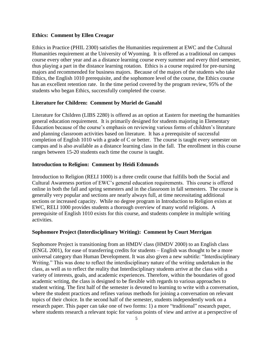#### **Ethics: Comment by Ellen Creagar**

Ethics in Practice (PHIL 2300) satisfies the Humanities requirement at EWC and the Cultural Humanities requirement at the University of Wyoming. It is offered as a traditional on campus course every other year and as a distance learning course every summer and every third semester, thus playing a part in the distance learning rotation. Ethics is a course required for pre-nursing majors and recommended for business majors. Because of the majors of the students who take Ethics, the English 1010 prerequisite, and the sophomore level of the course, the Ethics course has an excellent retention rate. In the time period covered by the program review, 95% of the students who began Ethics, successfully completed the course.

### **Literature for Children: Comment by Muriel de Ganahl**

Literature for Children (LIBS 2280) is offered as an option at Eastern for meeting the humanities general education requirement. It is primarily designed for students majoring in Elementary Education because of the course's emphasis on reviewing various forms of children's literature and planning classroom activities based on literature. It has a prerequisite of successful completion of English 1010 with a grade of C or better. The course is taught every semester on campus and is also available as a distance learning class in the fall. The enrollment in this course ranges between 15-20 students each time the course is taught.

#### **Introduction to Religion: Comment by Heidi Edmunds**

Introduction to Religion (RELI 1000) is a three credit course that fulfills both the Social and Cultural Awareness portion of EWC's general education requirements. This course is offered online in both the fall and spring semesters and in the classroom in fall semesters. The course is generally very popular and sections are nearly always full, at time necessitating additional sections or increased capacity. While no degree program in Introduction to Religion exists at EWC, RELI 1000 provides students a thorough overview of many world religions. A prerequisite of English 1010 exists for this course, and students complete in multiple writing activities.

#### **Sophomore Project (Interdisciplinary Writing): Comment by Court Merrigan**

Sophomore Project is transitioning from an HMDV class (HMDV 2000) to an English class (ENGL 2001), for ease of transferring credits for students – English was thought to be a more universal category than Human Development. It was also given a new subtitle: "Interdisciplinary Writing." This was done to reflect the interdisciplinary nature of the writing undertaken in the class, as well as to reflect the reality that Interdisciplinary students arrive at the class with a variety of interests, goals, and academic experiences. Therefore, within the boundaries of good academic writing, the class is designed to be flexible with regards to various approaches to student writing. The first half of the semester is devoted to learning to write with a conversation, where the student practices and refines various methods for joining a conversation on relevant topics of their choice. In the second half of the semester, students independently work on a research paper. This paper can take one of two forms: 1) a more "traditional" research paper, where students research a relevant topic for various points of view and arrive at a perspective of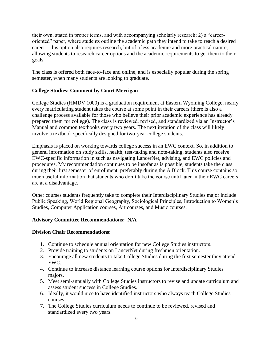their own, stated in proper terms, and with accompanying scholarly research; 2) a "careeroriented" paper, where students outline the academic path they intend to take to reach a desired career – this option also requires research, but of a less academic and more practical nature, allowing students to research career options and the academic requirements to get them to their goals.

The class is offered both face-to-face and online, and is especially popular during the spring semester, when many students are looking to graduate.

## **College Studies: Comment by Court Merrigan**

College Studies (HMDV 1000) is a graduation requirement at Eastern Wyoming College; nearly every matriculating student takes the course at some point in their careers (there is also a challenge process available for those who believe their prior academic experience has already prepared them for college). The class is reviewed, revised, and standardized via an Instructor's Manual and common textbooks every two years. The next iteration of the class will likely involve a textbook specifically designed for two-year college students.

Emphasis is placed on working towards college success in an EWC context. So, in addition to general information on study skills, health, test-taking and note-taking, students also receive EWC-specific information in such as navigating LancerNet, advising, and EWC policies and procedures. My recommendation continues to be insofar as is possible, students take the class during their first semester of enrollment, preferably during the A Block. This course contains so much useful information that students who don't take the course until later in their EWC careers are at a disadvantage.

Other courses students frequently take to complete their Interdisciplinary Studies major include Public Speaking, World Regional Geography, Sociological Principles, Introduction to Women's Studies, Computer Application courses, Art courses, and Music courses.

## **Advisory Committee Recommendations: N/A**

## **Division Chair Recommendations:**

- 1. Continue to schedule annual orientation for new College Studies instructors.
- 2. Provide training to students on LancerNet during freshmen orientation.
- 3. Encourage all new students to take College Studies during the first semester they attend EWC.
- 4. Continue to increase distance learning course options for Interdisciplinary Studies majors.
- 5. Meet semi-annually with College Studies instructors to revise and update curriculum and assess student success in College Studies.
- 6. Ideally, it would nice to have identified instructors who always teach College Studies courses.
- 7. The College Studies curriculum needs to continue to be reviewed, revised and standardized every two years.